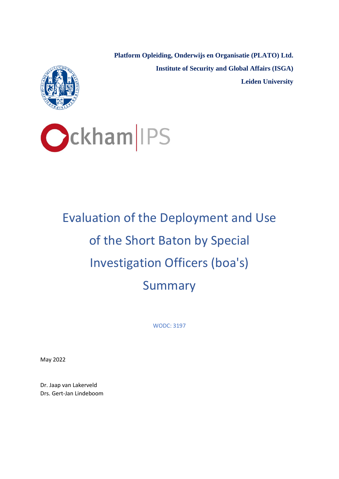**Platform Opleiding, Onderwijs en Organisatie (PLATO) Ltd. Institute of Security and Global Affairs (ISGA) Leiden University**





# Evaluation of the Deployment and Use of the Short Baton by Special Investigation Officers (boa's) **Summary**

WODC: 3197

May 2022

Dr. Jaap van Lakerveld Drs. Gert-Jan Lindeboom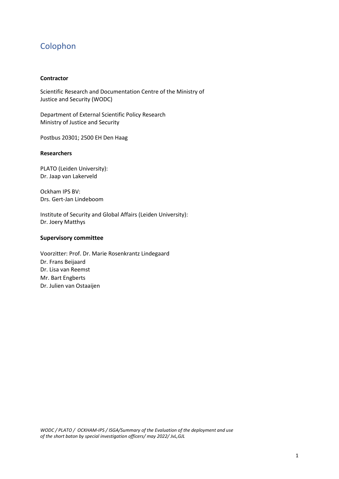# Colophon

#### **Contractor**

Scientific Research and Documentation Centre of the Ministry of Justice and Security (WODC)

Department of External Scientific Policy Research Ministry of Justice and Security

Postbus 20301; 2500 EH Den Haag

#### **Researchers**

PLATO (Leiden University): Dr. Jaap van Lakerveld

Ockham IPS BV: Drs. Gert-Jan Lindeboom

Institute of Security and Global Affairs (Leiden University): Dr. Joery Matthys

#### **Supervisory committee**

Voorzitter: Prof. Dr. Marie Rosenkrantz Lindegaard Dr. Frans Beijaard Dr. Lisa van Reemst Mr. Bart Engberts Dr. Julien van Ostaaijen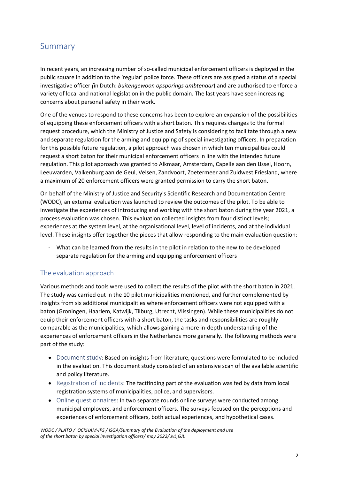# Summary

In recent years, an increasing number of so-called municipal enforcement officers is deployed in the public square in addition to the 'regular' police force. These officers are assigned a status of a special investigative officer *(*in Dutch: *buitengewoon opsporings ambtenaar*) and are authorised to enforce a variety of local and national legislation in the public domain. The last years have seen increasing concerns about personal safety in their work.

One of the venues to respond to these concerns has been to explore an expansion of the possibilities of equipping these enforcement officers with a short baton. This requires changes to the formal request procedure, which the Ministry of Justice and Safety is considering to facilitate through a new and separate regulation for the arming and equipping of special investigating officers. In preparation for this possible future regulation, a pilot approach was chosen in which ten municipalities could request a short baton for their municipal enforcement officers in line with the intended future regulation. This pilot approach was granted to Alkmaar, Amsterdam, Capelle aan den IJssel, Hoorn, Leeuwarden, Valkenburg aan de Geul, Velsen, Zandvoort, Zoetermeer and Zuidwest Friesland, where a maximum of 20 enforcement officers were granted permission to carry the short baton.

On behalf of the Ministry of Justice and Security's Scientific Research and Documentation Centre (WODC), an external evaluation was launched to review the outcomes of the pilot. To be able to investigate the experiences of introducing and working with the short baton during the year 2021, a process evaluation was chosen. This evaluation collected insights from four distinct levels; experiences at the system level, at the organisational level, level of incidents, and at the individual level. These insights offer together the pieces that allow responding to the main evaluation question:

- What can be learned from the results in the pilot in relation to the new to be developed separate regulation for the arming and equipping enforcement officers

# The evaluation approach

Various methods and tools were used to collect the results of the pilot with the short baton in 2021. The study was carried out in the 10 pilot municipalities mentioned, and further complemented by insights from six additional municipalities where enforcement officers were not equipped with a baton (Groningen, Haarlem, Katwijk, Tilburg, Utrecht, Vlissingen). While these municipalities do not equip their enforcement officers with a short baton, the tasks and responsibilities are roughly comparable as the municipalities, which allows gaining a more in-depth understanding of the experiences of enforcement officers in the Netherlands more generally. The following methods were part of the study:

- Document study: Based on insights from literature, questions were formulated to be included in the evaluation. This document study consisted of an extensive scan of the available scientific and policy literature.
- Registration of incidents: The factfinding part of the evaluation was fed by data from local registration systems of municipalities, police, and supervisors.
- Online questionnaires: In two separate rounds online surveys were conducted among municipal employers, and enforcement officers. The surveys focused on the perceptions and experiences of enforcement officers, both actual experiences, and hypothetical cases.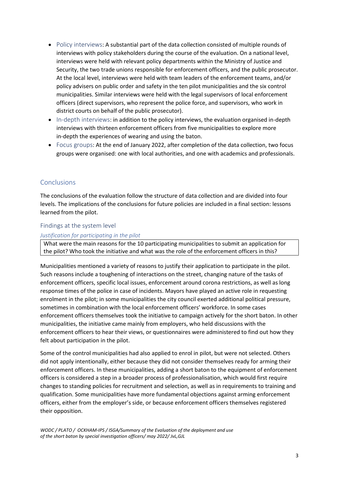- Policy interviews: A substantial part of the data collection consisted of multiple rounds of interviews with policy stakeholders during the course of the evaluation. On a national level, interviews were held with relevant policy departments within the Ministry of Justice and Security, the two trade unions responsible for enforcement officers, and the public prosecutor. At the local level, interviews were held with team leaders of the enforcement teams, and/or policy advisers on public order and safety in the ten pilot municipalities and the six control municipalities. Similar interviews were held with the legal supervisors of local enforcement officers (direct supervisors, who represent the police force, and supervisors, who work in district courts on behalf of the public prosecutor).
- In-depth interviews: in addition to the policy interviews, the evaluation organised in-depth interviews with thirteen enforcement officers from five municipalities to explore more in-depth the experiences of wearing and using the baton.
- Focus groups: At the end of January 2022, after completion of the data collection, two focus groups were organised: one with local authorities, and one with academics and professionals.

# Conclusions

The conclusions of the evaluation follow the structure of data collection and are divided into four levels. The implications of the conclusions for future policies are included in a final section: lessons learned from the pilot.

#### Findings at the system level

#### *Justification for participating in the pilot*

What were the main reasons for the 10 participating municipalities to submit an application for the pilot? Who took the initiative and what was the role of the enforcement officers in this?

Municipalities mentioned a variety of reasons to justify their application to participate in the pilot. Such reasons include a toughening of interactions on the street, changing nature of the tasks of enforcement officers, specific local issues, enforcement around corona restrictions, as well as long response times of the police in case of incidents. Mayors have played an active role in requesting enrolment in the pilot; in some municipalities the city council exerted additional political pressure, sometimes in combination with the local enforcement officers' workforce. In some cases enforcement officers themselves took the initiative to campaign actively for the short baton. In other municipalities, the initiative came mainly from employers, who held discussions with the enforcement officers to hear their views, or questionnaires were administered to find out how they felt about participation in the pilot.

Some of the control municipalities had also applied to enrol in pilot, but were not selected. Others did not apply intentionally, either because they did not consider themselves ready for arming their enforcement officers. In these municipalities, adding a short baton to the equipment of enforcement officers is considered a step in a broader process of professionalisation, which would first require changes to standing policies for recruitment and selection, as well as in requirements to training and qualification. Some municipalities have more fundamental objections against arming enforcement officers, either from the employer's side, or because enforcement officers themselves registered their opposition.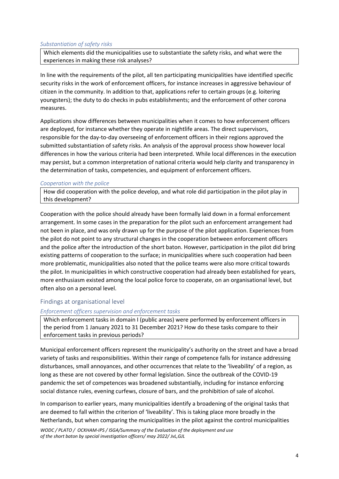#### *Substantiation of safety risks*

Which elements did the municipalities use to substantiate the safety risks, and what were the experiences in making these risk analyses?

In line with the requirements of the pilot, all ten participating municipalities have identified specific security risks in the work of enforcement officers, for instance increases in aggressive behaviour of citizen in the community. In addition to that, applications refer to certain groups (e.g. loitering youngsters); the duty to do checks in pubs establishments; and the enforcement of other corona measures.

Applications show differences between municipalities when it comes to how enforcement officers are deployed, for instance whether they operate in nightlife areas. The direct supervisors, responsible for the day-to-day overseeing of enforcement officers in their regions approved the submitted substantiation of safety risks. An analysis of the approval process show however local differences in how the various criteria had been interpreted. While local differences in the execution may persist, but a common interpretation of national criteria would help clarity and transparency in the determination of tasks, competencies, and equipment of enforcement officers.

#### *Cooperation with the police*

How did cooperation with the police develop, and what role did participation in the pilot play in this development?

Cooperation with the police should already have been formally laid down in a formal enforcement arrangement. In some cases in the preparation for the pilot such an enforcement arrangement had not been in place, and was only drawn up for the purpose of the pilot application. Experiences from the pilot do not point to any structural changes in the cooperation between enforcement officers and the police after the introduction of the short baton. However, participation in the pilot did bring existing patterns of cooperation to the surface; in municipalities where such cooperation had been more problematic, municipalities also noted that the police teams were also more critical towards the pilot. In municipalities in which constructive cooperation had already been established for years, more enthusiasm existed among the local police force to cooperate, on an organisational level, but often also on a personal level.

#### Findings at organisational level

#### *Enforcement officers supervision and enforcement tasks*

Which enforcement tasks in domain I (public areas) were performed by enforcement officers in the period from 1 January 2021 to 31 December 2021? How do these tasks compare to their enforcement tasks in previous periods?

Municipal enforcement officers represent the municipality's authority on the street and have a broad variety of tasks and responsibilities. Within their range of competence falls for instance addressing disturbances, small annoyances, and other occurrences that relate to the 'liveability' of a region, as long as these are not covered by other formal legislation. Since the outbreak of the COVID-19 pandemic the set of competences was broadened substantially, including for instance enforcing social distance rules, evening curfews, closure of bars, and the prohibition of sale of alcohol.

In comparison to earlier years, many municipalities identify a broadening of the original tasks that are deemed to fall within the criterion of 'liveability'. This is taking place more broadly in the Netherlands, but when comparing the municipalities in the pilot against the control municipalities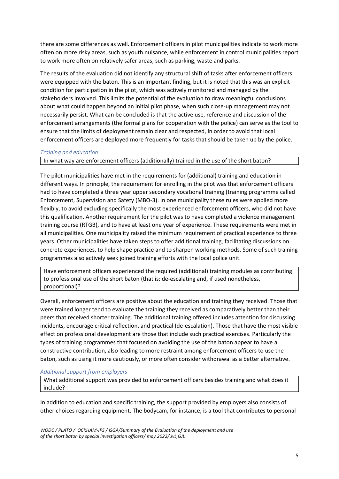there are some differences as well. Enforcement officers in pilot municipalities indicate to work more often on more risky areas, such as youth nuisance, while enforcement in control municipalities report to work more often on relatively safer areas, such as parking, waste and parks.

The results of the evaluation did not identify any structural shift of tasks after enforcement officers were equipped with the baton. This is an important finding, but it is noted that this was an explicit condition for participation in the pilot, which was actively monitored and managed by the stakeholders involved. This limits the potential of the evaluation to draw meaningful conclusions about what could happen beyond an initial pilot phase, when such close-up management may not necessarily persist. What can be concluded is that the active use, reference and discussion of the enforcement arrangements (the formal plans for cooperation with the police) can serve as the tool to ensure that the limits of deployment remain clear and respected, in order to avoid that local enforcement officers are deployed more frequently for tasks that should be taken up by the police.

#### *Training and education*

In what way are enforcement officers (additionally) trained in the use of the short baton?

The pilot municipalities have met in the requirements for (additional) training and education in different ways. In principle, the requirement for enrolling in the pilot was that enforcement officers had to have completed a three year upper secondary vocational training (training programme called Enforcement, Supervision and Safety (MBO-3). In one municipality these rules were applied more flexibly, to avoid excluding specifically the most experienced enforcement officers, who did not have this qualification. Another requirement for the pilot was to have completed a violence management training course (RTGB), and to have at least one year of experience. These requirements were met in all municipalities. One municipality raised the minimum requirement of practical experience to three years. Other municipalities have taken steps to offer additional training, facilitating discussions on concrete experiences, to help shape practice and to sharpen working methods. Some of such training programmes also actively seek joined training efforts with the local police unit.

Have enforcement officers experienced the required (additional) training modules as contributing to professional use of the short baton (that is: de-escalating and, if used nonetheless, proportional)?

Overall, enforcement officers are positive about the education and training they received. Those that were trained longer tend to evaluate the training they received as comparatively better than their peers that received shorter training. The additional training offered includes attention for discussing incidents, encourage critical reflection, and practical (de-escalation). Those that have the most visible effect on professional development are those that include such practical exercises. Particularly the types of training programmes that focused on avoiding the use of the baton appear to have a constructive contribution, also leading to more restraint among enforcement officers to use the baton, such as using it more cautiously, or more often consider withdrawal as a better alternative.

#### *Additional support from employers*

What additional support was provided to enforcement officers besides training and what does it include?

In addition to education and specific training, the support provided by employers also consists of other choices regarding equipment. The bodycam, for instance, is a tool that contributes to personal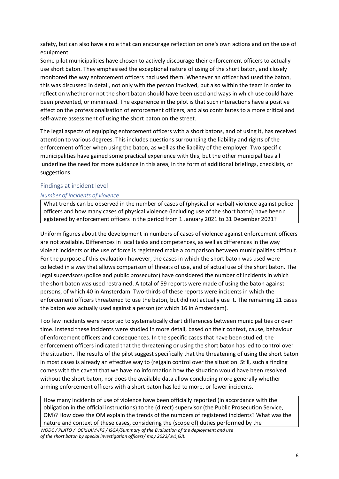safety, but can also have a role that can encourage reflection on one's own actions and on the use of equipment.

Some pilot municipalities have chosen to actively discourage their enforcement officers to actually use short baton. They emphasised the exceptional nature of using of the short baton, and closely monitored the way enforcement officers had used them. Whenever an officer had used the baton, this was discussed in detail, not only with the person involved, but also within the team in order to reflect on whether or not the short baton should have been used and ways in which use could have been prevented, or minimized. The experience in the pilot is that such interactions have a positive effect on the professionalisation of enforcement officers, and also contributes to a more critical and self-aware assessment of using the short baton on the street.

The legal aspects of equipping enforcement officers with a short batons, and of using it, has received attention to various degrees. This includes questions surrounding the liability and rights of the enforcement officer when using the baton, as well as the liability of the employer. Two specific municipalities have gained some practical experience with this, but the other municipalities all underline the need for more guidance in this area, in the form of additional briefings, checklists, or suggestions.

## Findings at incident level

## *Number of incidents of violence*

What trends can be observed in the number of cases of (physical or verbal) violence against police officers and how many cases of physical violence (including use of the short baton) have been r egistered by enforcement officers in the period from 1 January 2021 to 31 December 2021?

Uniform figures about the development in numbers of cases of violence against enforcement officers are not available. Differences in local tasks and competences, as well as differences in the way violent incidents or the use of force is registered make a comparison between municipalities difficult. For the purpose of this evaluation however, the cases in which the short baton was used were collected in a way that allows comparison of threats of use, and of actual use of the short baton. The legal supervisors (police and public prosecutor) have considered the number of incidents in which the short baton was used restrained. A total of 59 reports were made of using the baton against persons, of which 40 in Amsterdam. Two-thirds of these reports were incidents in which the enforcement officers threatened to use the baton, but did not actually use it. The remaining 21 cases the baton was actually used against a person (of which 16 in Amsterdam).

Too few incidents were reported to systematically chart differences between municipalities or over time. Instead these incidents were studied in more detail, based on their context, cause, behaviour of enforcement officers and consequences. In the specific cases that have been studied, the enforcement officers indicated that the threatening or using the short baton has led to control over the situation. The results of the pilot suggest specifically that the threatening of using the short baton in most cases is already an effective way to (re)gain control over the situation. Still, such a finding comes with the caveat that we have no information how the situation would have been resolved without the short baton, nor does the available data allow concluding more generally whether arming enforcement officers with a short baton has led to more, or fewer incidents.

How many incidents of use of violence have been officially reported (in accordance with the obligation in the official instructions) to the (direct) supervisor (the Public Prosecution Service, OM)? How does the OM explain the trends of the numbers of registered incidents? What was the nature and context of these cases, considering the (scope of) duties performed by the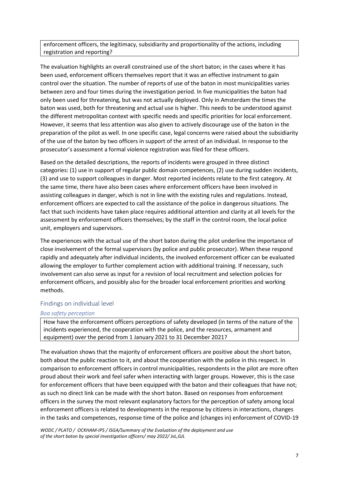enforcement officers, the legitimacy, subsidiarity and proportionality of the actions, including registration and reporting?

The evaluation highlights an overall constrained use of the short baton; in the cases where it has been used, enforcement officers themselves report that it was an effective instrument to gain control over the situation. The number of reports of use of the baton in most municipalities varies between zero and four times during the investigation period. In five municipalities the baton had only been used for threatening, but was not actually deployed. Only in Amsterdam the times the baton was used, both for threatening and actual use is higher. This needs to be understood against the different metropolitan context with specific needs and specific priorities for local enforcement. However, it seems that less attention was also given to actively discourage use of the baton in the preparation of the pilot as well. In one specific case, legal concerns were raised about the subsidiarity of the use of the baton by two officers in support of the arrest of an individual. In response to the prosecutor's assessment a formal violence registration was filed for these officers.

Based on the detailed descriptions, the reports of incidents were grouped in three distinct categories: (1) use in support of regular public domain competences, (2) use during sudden incidents, (3) and use to support colleagues in danger. Most reported incidents relate to the first category. At the same time, there have also been cases where enforcement officers have been involved in assisting colleagues in danger, which is not in line with the existing rules and regulations. Instead, enforcement officers are expected to call the assistance of the police in dangerous situations. The fact that such incidents have taken place requires additional attention and clarity at all levels for the assessment by enforcement officers themselves; by the staff in the control room, the local police unit, employers and supervisors.

The experiences with the actual use of the short baton during the pilot underline the importance of close involvement of the formal supervisors (by police and public prosecutor). When these respond rapidly and adequately after individual incidents, the involved enforcement officer can be evaluated allowing the employer to further complement action with additional training. If necessary, such involvement can also serve as input for a revision of local recruitment and selection policies for enforcement officers, and possibly also for the broader local enforcement priorities and working methods.

## Findings on individual level

#### *Boa safety perception*

How have the enforcement officers perceptions of safety developed (in terms of the nature of the incidents experienced, the cooperation with the police, and the resources, armament and equipment) over the period from 1 January 2021 to 31 December 2021?

The evaluation shows that the majority of enforcement officers are positive about the short baton, both about the public reaction to it, and about the cooperation with the police in this respect. In comparison to enforcement officers in control municipalities, respondents in the pilot are more often proud about their work and feel safer when interacting with larger groups. However, this is the case for enforcement officers that have been equipped with the baton and their colleagues that have not; as such no direct link can be made with the short baton. Based on responses from enforcement officers in the survey the most relevant explanatory factors for the perception of safety among local enforcement officers is related to developments in the response by citizens in interactions, changes in the tasks and competences, response time of the police and (changes in) enforcement of COVID-19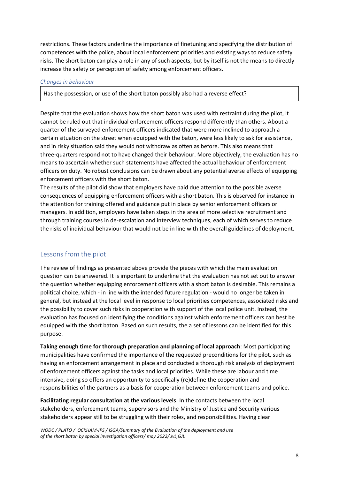restrictions. These factors underline the importance of finetuning and specifying the distribution of competences with the police, about local enforcement priorities and existing ways to reduce safety risks. The short baton can play a role in any of such aspects, but by itself is not the means to directly increase the safety or perception of safety among enforcement officers.

#### *Changes in behaviour*

Has the possession, or use of the short baton possibly also had a reverse effect?

Despite that the evaluation shows how the short baton was used with restraint during the pilot, it cannot be ruled out that individual enforcement officers respond differently than others. About a quarter of the surveyed enforcement officers indicated that were more inclined to approach a certain situation on the street when equipped with the baton, were less likely to ask for assistance, and in risky situation said they would not withdraw as often as before. This also means that three-quarters respond not to have changed their behaviour. More objectively, the evaluation has no means to ascertain whether such statements have affected the actual behaviour of enforcement officers on duty. No robust conclusions can be drawn about any potential averse effects of equipping enforcement officers with the short baton.

The results of the pilot did show that employers have paid due attention to the possible averse consequences of equipping enforcement officers with a short baton. This is observed for instance in the attention for training offered and guidance put in place by senior enforcement officers or managers. In addition, employers have taken steps in the area of more selective recruitment and through training courses in de-escalation and interview techniques, each of which serves to reduce the risks of individual behaviour that would not be in line with the overall guidelines of deployment.

# Lessons from the pilot

The review of findings as presented above provide the pieces with which the main evaluation question can be answered. It is important to underline that the evaluation has not set out to answer the question whether equipping enforcement officers with a short baton is desirable. This remains a political choice, which - in line with the intended future regulation - would no longer be taken in general, but instead at the local level in response to local priorities competences, associated risks and the possibility to cover such risks in cooperation with support of the local police unit. Instead, the evaluation has focused on identifying the conditions against which enforcement officers can best be equipped with the short baton. Based on such results, the a set of lessons can be identified for this purpose.

**Taking enough time for thorough preparation and planning of local approach**: Most participating municipalities have confirmed the importance of the requested preconditions for the pilot, such as having an enforcement arrangement in place and conducted a thorough risk analysis of deployment of enforcement officers against the tasks and local priorities. While these are labour and time intensive, doing so offers an opportunity to specifically (re)define the cooperation and responsibilities of the partners as a basis for cooperation between enforcement teams and police.

**Facilitating regular consultation at the various levels**: In the contacts between the local stakeholders, enforcement teams, supervisors and the Ministry of Justice and Security various stakeholders appear still to be struggling with their roles, and responsibilities. Having clear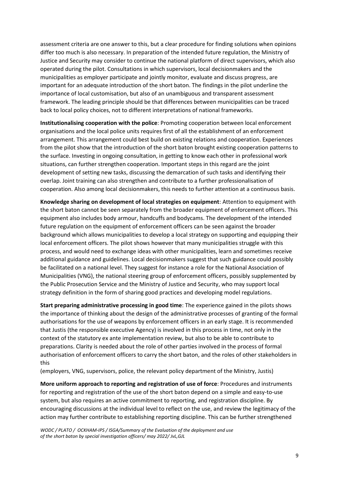assessment criteria are one answer to this, but a clear procedure for finding solutions when opinions differ too much is also necessary. In preparation of the intended future regulation, the Ministry of Justice and Security may consider to continue the national platform of direct supervisors, which also operated during the pilot. Consultations in which supervisors, local decisionmakers and the municipalities as employer participate and jointly monitor, evaluate and discuss progress, are important for an adequate introduction of the short baton. The findings in the pilot underline the importance of local customisation, but also of an unambiguous and transparent assessment framework. The leading principle should be that differences between municipalities can be traced back to local policy choices, not to different interpretations of national frameworks.

**Institutionalising cooperation with the police**: Promoting cooperation between local enforcement organisations and the local police units requires first of all the establishment of an enforcement arrangement. This arrangement could best build on existing relations and cooperation. Experiences from the pilot show that the introduction of the short baton brought existing cooperation patterns to the surface. Investing in ongoing consultation, in getting to know each other in professional work situations, can further strengthen cooperation. Important steps in this regard are the joint development of setting new tasks, discussing the demarcation of such tasks and identifying their overlap. Joint training can also strengthen and contribute to a further professionalisation of cooperation. Also among local decisionmakers, this needs to further attention at a continuous basis.

**Knowledge sharing on development of local strategies on equipment**: Attention to equipment with the short baton cannot be seen separately from the broader equipment of enforcement officers. This equipment also includes body armour, handcuffs and bodycams. The development of the intended future regulation on the equipment of enforcement officers can be seen against the broader background which allows municipalities to develop a local strategy on supporting and equipping their local enforcement officers. The pilot shows however that many municipalities struggle with this process, and would need to exchange ideas with other municipalities, learn and sometimes receive additional guidance and guidelines. Local decisionmakers suggest that such guidance could possibly be facilitated on a national level. They suggest for instance a role for the National Association of Municipalities (VNG), the national steering group of enforcement officers, possibly supplemented by the Public Prosecution Service and the Ministry of Justice and Security, who may support local strategy definition in the form of sharing good practices and developing model regulations.

**Start preparing administrative processing in good time**: The experience gained in the pilots shows the importance of thinking about the design of the administrative processes of granting of the formal authorisations for the use of weapons by enforcement officers in an early stage. It is recommended that Justis (the responsible executive Agency) is involved in this process in time, not only in the context of the statutory ex ante implementation review, but also to be able to contribute to preparations. Clarity is needed about the role of other parties involved in the process of formal authorisation of enforcement officers to carry the short baton, and the roles of other stakeholders in this

(employers, VNG, supervisors, police, the relevant policy department of the Ministry, Justis)

**More uniform approach to reporting and registration of use of force**: Procedures and instruments for reporting and registration of the use of the short baton depend on a simple and easy-to-use system, but also requires an active commitment to reporting, and registration discipline. By encouraging discussions at the individual level to reflect on the use, and review the legitimacy of the action may further contribute to establishing reporting discipline. This can be further strengthened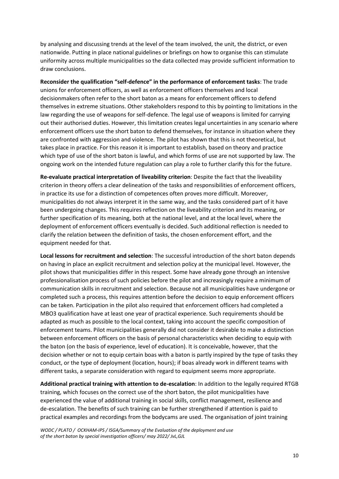by analysing and discussing trends at the level of the team involved, the unit, the district, or even nationwide. Putting in place national guidelines or briefings on how to organise this can stimulate uniformity across multiple municipalities so the data collected may provide sufficient information to draw conclusions.

**Reconsider the qualification "self-defence" in the performance of enforcement tasks**: The trade unions for enforcement officers, as well as enforcement officers themselves and local decisionmakers often refer to the short baton as a means for enforcement officers to defend themselves in extreme situations. Other stakeholders respond to this by pointing to limitations in the law regarding the use of weapons for self-defence. The legal use of weapons is limited for carrying out their authorised duties. However, this limitation creates legal uncertainties in any scenario where enforcement officers use the short baton to defend themselves, for instance in situation where they are confronted with aggression and violence. The pilot has shown that this is not theoretical, but takes place in practice. For this reason it is important to establish, based on theory and practice which type of use of the short baton is lawful, and which forms of use are not supported by law. The ongoing work on the intended future regulation can play a role to further clarify this for the future.

**Re-evaluate practical interpretation of liveability criterion**: Despite the fact that the liveability criterion in theory offers a clear delineation of the tasks and responsibilities of enforcement officers, in practice its use for a distinction of competences often proves more difficult. Moreover, municipalities do not always interpret it in the same way, and the tasks considered part of it have been undergoing changes. This requires reflection on the liveability criterion and its meaning, or further specification of its meaning, both at the national level, and at the local level, where the deployment of enforcement officers eventually is decided. Such additional reflection is needed to clarify the relation between the definition of tasks, the chosen enforcement effort, and the equipment needed for that.

**Local lessons for recruitment and selection**: The successful introduction of the short baton depends on having in place an explicit recruitment and selection policy at the municipal level. However, the pilot shows that municipalities differ in this respect. Some have already gone through an intensive professionalisation process of such policies before the pilot and increasingly require a minimum of communication skills in recruitment and selection. Because not all municipalities have undergone or completed such a process, this requires attention before the decision to equip enforcement officers can be taken. Participation in the pilot also required that enforcement officers had completed a MBO3 qualification have at least one year of practical experience. Such requirements should be adapted as much as possible to the local context, taking into account the specific composition of enforcement teams. Pilot municipalities generally did not consider it desirable to make a distinction between enforcement officers on the basis of personal characteristics when deciding to equip with the baton (on the basis of experience, level of education). It is conceivable, however, that the decision whether or not to equip certain boas with a baton is partly inspired by the type of tasks they conduct, or the type of deployment (location, hours); if boas already work in different teams with different tasks, a separate consideration with regard to equipment seems more appropriate.

**Additional practical training with attention to de-escalation**: In addition to the legally required RTGB training, which focuses on the correct use of the short baton, the pilot municipalities have experienced the value of additional training in social skills, conflict management, resilience and de-escalation. The benefits of such training can be further strengthened if attention is paid to practical examples and recordings from the bodycams are used. The organisation of joint training